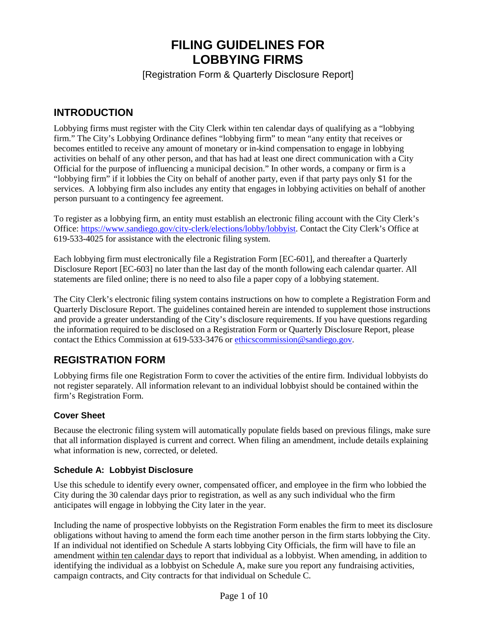# **FILING GUIDELINES FOR LOBBYING FIRMS**

[Registration Form & Quarterly Disclosure Report]

## **INTRODUCTION**

Lobbying firms must register with the City Clerk within ten calendar days of qualifying as a "lobbying firm." The City's Lobbying Ordinance defines "lobbying firm" to mean "any entity that receives or becomes entitled to receive any amount of monetary or in-kind compensation to engage in lobbying activities on behalf of any other person, and that has had at least one direct communication with a City Official for the purpose of influencing a municipal decision." In other words, a company or firm is a "lobbying firm" if it lobbies the City on behalf of another party, even if that party pays only \$1 for the services. A lobbying firm also includes any entity that engages in lobbying activities on behalf of another person pursuant to a contingency fee agreement.

To register as a lobbying firm, an entity must establish an electronic filing account with the City Clerk's Office: [https://www.sandiego.gov/city-clerk/elections/lobby/lobbyist.](https://www.sandiego.gov/city-clerk/elections/lobby/lobbyist) Contact the City Clerk's Office at 619-533-4025 for assistance with the electronic filing system.

Each lobbying firm must electronically file a Registration Form [EC-601], and thereafter a Quarterly Disclosure Report [EC-603] no later than the last day of the month following each calendar quarter. All statements are filed online; there is no need to also file a paper copy of a lobbying statement.

The City Clerk's electronic filing system contains instructions on how to complete a Registration Form and Quarterly Disclosure Report. The guidelines contained herein are intended to supplement those instructions and provide a greater understanding of the City's disclosure requirements. If you have questions regarding the information required to be disclosed on a Registration Form or Quarterly Disclosure Report, please contact the Ethics Commission at 619-533-3476 or [ethicscommission@sandiego.gov.](mailto:ethicscommission@sandiego.gov)

## **REGISTRATION FORM**

Lobbying firms file one Registration Form to cover the activities of the entire firm. Individual lobbyists do not register separately. All information relevant to an individual lobbyist should be contained within the firm's Registration Form.

## **Cover Sheet**

Because the electronic filing system will automatically populate fields based on previous filings, make sure that all information displayed is current and correct. When filing an amendment, include details explaining what information is new, corrected, or deleted.

#### **Schedule A: Lobbyist Disclosure**

Use this schedule to identify every owner, compensated officer, and employee in the firm who lobbied the City during the 30 calendar days prior to registration, as well as any such individual who the firm anticipates will engage in lobbying the City later in the year.

Including the name of prospective lobbyists on the Registration Form enables the firm to meet its disclosure obligations without having to amend the form each time another person in the firm starts lobbying the City. If an individual not identified on Schedule A starts lobbying City Officials, the firm will have to file an amendment within ten calendar days to report that individual as a lobbyist. When amending, in addition to identifying the individual as a lobbyist on Schedule A, make sure you report any fundraising activities, campaign contracts, and City contracts for that individual on Schedule C.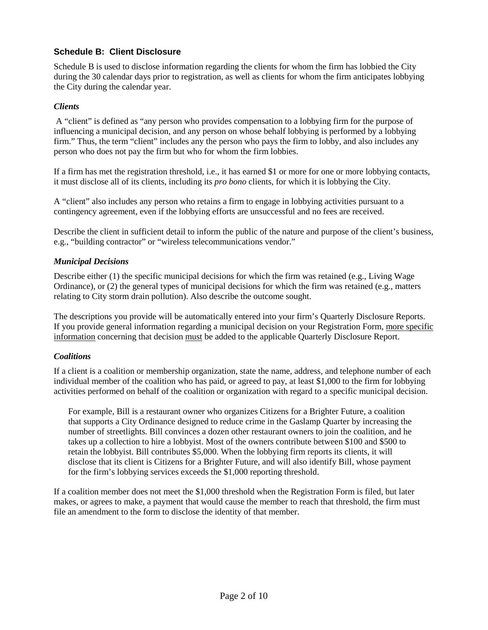## **Schedule B: Client Disclosure**

Schedule B is used to disclose information regarding the clients for whom the firm has lobbied the City during the 30 calendar days prior to registration, as well as clients for whom the firm anticipates lobbying the City during the calendar year.

#### *Clients*

A "client" is defined as "any person who provides compensation to a lobbying firm for the purpose of influencing a municipal decision, and any person on whose behalf lobbying is performed by a lobbying firm." Thus, the term "client" includes any the person who pays the firm to lobby, and also includes any person who does not pay the firm but who for whom the firm lobbies.

If a firm has met the registration threshold, i.e., it has earned \$1 or more for one or more lobbying contacts, it must disclose all of its clients, including its *pro bono* clients, for which it is lobbying the City.

A "client" also includes any person who retains a firm to engage in lobbying activities pursuant to a contingency agreement, even if the lobbying efforts are unsuccessful and no fees are received.

Describe the client in sufficient detail to inform the public of the nature and purpose of the client's business, e.g., "building contractor" or "wireless telecommunications vendor."

#### *Municipal Decisions*

Describe either (1) the specific municipal decisions for which the firm was retained (e.g., Living Wage Ordinance), or (2) the general types of municipal decisions for which the firm was retained (e.g., matters relating to City storm drain pollution). Also describe the outcome sought.

The descriptions you provide will be automatically entered into your firm's Quarterly Disclosure Reports. If you provide general information regarding a municipal decision on your Registration Form, more specific information concerning that decision must be added to the applicable Quarterly Disclosure Report.

#### *Coalitions*

If a client is a coalition or membership organization, state the name, address, and telephone number of each individual member of the coalition who has paid, or agreed to pay, at least \$1,000 to the firm for lobbying activities performed on behalf of the coalition or organization with regard to a specific municipal decision.

For example, Bill is a restaurant owner who organizes Citizens for a Brighter Future, a coalition that supports a City Ordinance designed to reduce crime in the Gaslamp Quarter by increasing the number of streetlights. Bill convinces a dozen other restaurant owners to join the coalition, and he takes up a collection to hire a lobbyist. Most of the owners contribute between \$100 and \$500 to retain the lobbyist. Bill contributes \$5,000. When the lobbying firm reports its clients, it will disclose that its client is Citizens for a Brighter Future, and will also identify Bill, whose payment for the firm's lobbying services exceeds the \$1,000 reporting threshold.

If a coalition member does not meet the \$1,000 threshold when the Registration Form is filed, but later makes, or agrees to make, a payment that would cause the member to reach that threshold, the firm must file an amendment to the form to disclose the identity of that member.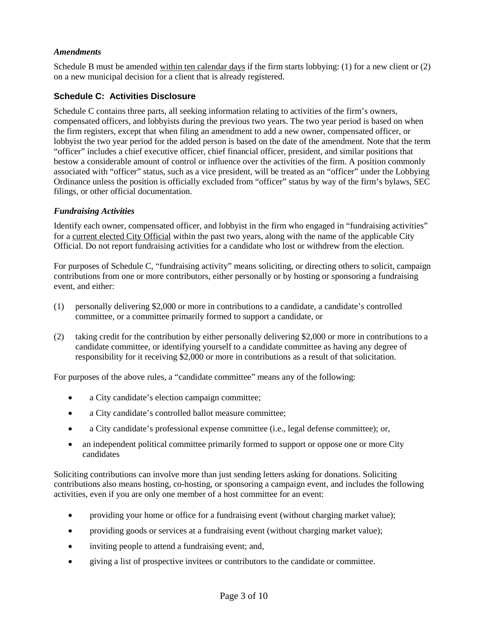#### *Amendments*

Schedule B must be amended within ten calendar days if the firm starts lobbying: (1) for a new client or (2) on a new municipal decision for a client that is already registered.

#### **Schedule C: Activities Disclosure**

Schedule C contains three parts, all seeking information relating to activities of the firm's owners, compensated officers, and lobbyists during the previous two years. The two year period is based on when the firm registers, except that when filing an amendment to add a new owner, compensated officer, or lobbyist the two year period for the added person is based on the date of the amendment. Note that the term "officer" includes a chief executive officer, chief financial officer, president, and similar positions that bestow a considerable amount of control or influence over the activities of the firm. A position commonly associated with "officer" status, such as a vice president, will be treated as an "officer" under the Lobbying Ordinance unless the position is officially excluded from "officer" status by way of the firm's bylaws, SEC filings, or other official documentation.

#### *Fundraising Activities*

Identify each owner, compensated officer, and lobbyist in the firm who engaged in "fundraising activities" for a current elected City Official within the past two years, along with the name of the applicable City Official. Do not report fundraising activities for a candidate who lost or withdrew from the election.

For purposes of Schedule C, "fundraising activity" means soliciting, or directing others to solicit, campaign contributions from one or more contributors, either personally or by hosting or sponsoring a fundraising event, and either:

- (1) personally delivering \$2,000 or more in contributions to a candidate, a candidate's controlled committee, or a committee primarily formed to support a candidate, or
- (2) taking credit for the contribution by either personally delivering \$2,000 or more in contributions to a candidate committee, or identifying yourself to a candidate committee as having any degree of responsibility for it receiving \$2,000 or more in contributions as a result of that solicitation.

For purposes of the above rules, a "candidate committee" means any of the following:

- a City candidate's election campaign committee;
- a City candidate's controlled ballot measure committee;
- a City candidate's professional expense committee (i.e., legal defense committee); or,
- an independent political committee primarily formed to support or oppose one or more City candidates

Soliciting contributions can involve more than just sending letters asking for donations. Soliciting contributions also means hosting, co-hosting, or sponsoring a campaign event, and includes the following activities, even if you are only one member of a host committee for an event:

- providing your home or office for a fundraising event (without charging market value);
- providing goods or services at a fundraising event (without charging market value);
- inviting people to attend a fundraising event; and,
- giving a list of prospective invitees or contributors to the candidate or committee.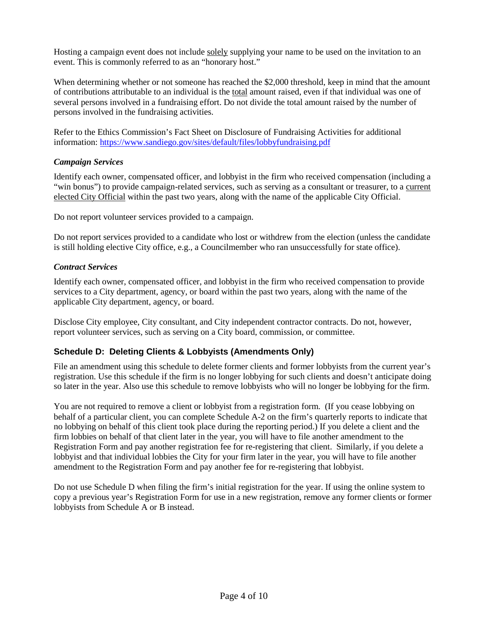Hosting a campaign event does not include solely supplying your name to be used on the invitation to an event. This is commonly referred to as an "honorary host."

When determining whether or not someone has reached the \$2,000 threshold, keep in mind that the amount of contributions attributable to an individual is the total amount raised, even if that individual was one of several persons involved in a fundraising effort. Do not divide the total amount raised by the number of persons involved in the fundraising activities.

Refer to the Ethics Commission's Fact Sheet on Disclosure of Fundraising Activities for additional information:<https://www.sandiego.gov/sites/default/files/lobbyfundraising.pdf>

#### *Campaign Services*

Identify each owner, compensated officer, and lobbyist in the firm who received compensation (including a "win bonus") to provide campaign-related services, such as serving as a consultant or treasurer, to a current elected City Official within the past two years, along with the name of the applicable City Official.

Do not report volunteer services provided to a campaign.

Do not report services provided to a candidate who lost or withdrew from the election (unless the candidate is still holding elective City office, e.g., a Councilmember who ran unsuccessfully for state office).

#### *Contract Services*

Identify each owner, compensated officer, and lobbyist in the firm who received compensation to provide services to a City department, agency, or board within the past two years, along with the name of the applicable City department, agency, or board.

Disclose City employee, City consultant, and City independent contractor contracts. Do not, however, report volunteer services, such as serving on a City board, commission, or committee.

#### **Schedule D: Deleting Clients & Lobbyists (Amendments Only)**

File an amendment using this schedule to delete former clients and former lobbyists from the current year's registration. Use this schedule if the firm is no longer lobbying for such clients and doesn't anticipate doing so later in the year. Also use this schedule to remove lobbyists who will no longer be lobbying for the firm.

You are not required to remove a client or lobbyist from a registration form. (If you cease lobbying on behalf of a particular client, you can complete Schedule A-2 on the firm's quarterly reports to indicate that no lobbying on behalf of this client took place during the reporting period.) If you delete a client and the firm lobbies on behalf of that client later in the year, you will have to file another amendment to the Registration Form and pay another registration fee for re-registering that client. Similarly, if you delete a lobbyist and that individual lobbies the City for your firm later in the year, you will have to file another amendment to the Registration Form and pay another fee for re-registering that lobbyist.

Do not use Schedule D when filing the firm's initial registration for the year. If using the online system to copy a previous year's Registration Form for use in a new registration, remove any former clients or former lobbyists from Schedule A or B instead.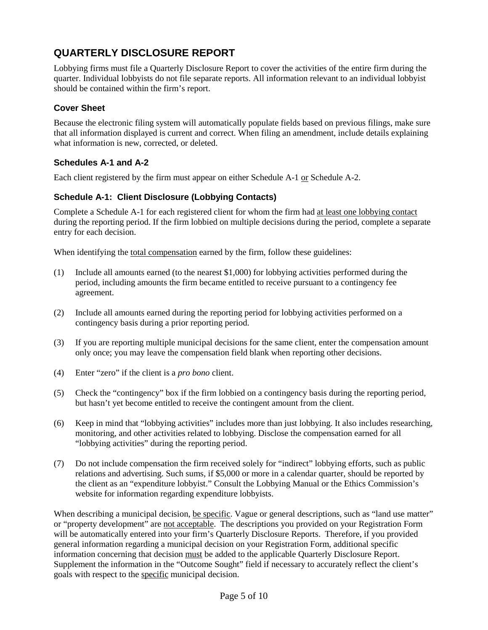## **QUARTERLY DISCLOSURE REPORT**

Lobbying firms must file a Quarterly Disclosure Report to cover the activities of the entire firm during the quarter. Individual lobbyists do not file separate reports. All information relevant to an individual lobbyist should be contained within the firm's report.

## **Cover Sheet**

Because the electronic filing system will automatically populate fields based on previous filings, make sure that all information displayed is current and correct. When filing an amendment, include details explaining what information is new, corrected, or deleted.

## **Schedules A-1 and A-2**

Each client registered by the firm must appear on either Schedule A-1 or Schedule A-2.

## **Schedule A-1: Client Disclosure (Lobbying Contacts)**

Complete a Schedule A-1 for each registered client for whom the firm had at least one lobbying contact during the reporting period. If the firm lobbied on multiple decisions during the period, complete a separate entry for each decision.

When identifying the total compensation earned by the firm, follow these guidelines:

- (1) Include all amounts earned (to the nearest \$1,000) for lobbying activities performed during the period, including amounts the firm became entitled to receive pursuant to a contingency fee agreement.
- (2) Include all amounts earned during the reporting period for lobbying activities performed on a contingency basis during a prior reporting period.
- (3) If you are reporting multiple municipal decisions for the same client, enter the compensation amount only once; you may leave the compensation field blank when reporting other decisions.
- (4) Enter "zero" if the client is a *pro bono* client.
- (5) Check the "contingency" box if the firm lobbied on a contingency basis during the reporting period, but hasn't yet become entitled to receive the contingent amount from the client.
- (6) Keep in mind that "lobbying activities" includes more than just lobbying. It also includes researching, monitoring, and other activities related to lobbying. Disclose the compensation earned for all "lobbying activities" during the reporting period.
- (7) Do not include compensation the firm received solely for "indirect" lobbying efforts, such as public relations and advertising. Such sums, if \$5,000 or more in a calendar quarter, should be reported by the client as an "expenditure lobbyist." Consult the Lobbying Manual or the Ethics Commission's website for information regarding expenditure lobbyists.

When describing a municipal decision, be specific. Vague or general descriptions, such as "land use matter" or "property development" are not acceptable. The descriptions you provided on your Registration Form will be automatically entered into your firm's Quarterly Disclosure Reports. Therefore, if you provided general information regarding a municipal decision on your Registration Form, additional specific information concerning that decision must be added to the applicable Quarterly Disclosure Report. Supplement the information in the "Outcome Sought" field if necessary to accurately reflect the client's goals with respect to the specific municipal decision.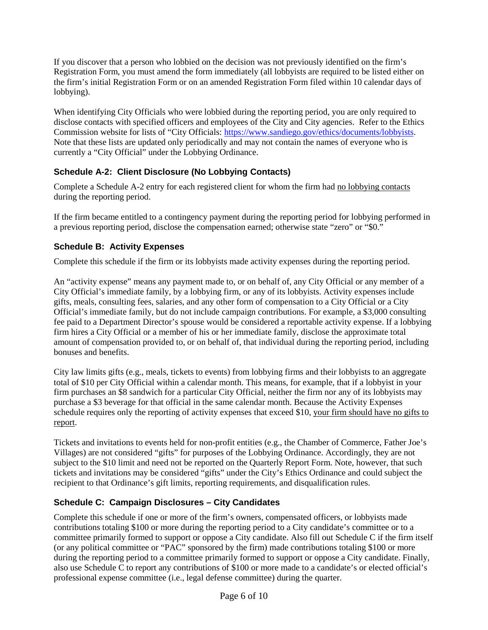If you discover that a person who lobbied on the decision was not previously identified on the firm's Registration Form, you must amend the form immediately (all lobbyists are required to be listed either on the firm's initial Registration Form or on an amended Registration Form filed within 10 calendar days of lobbying).

When identifying City Officials who were lobbied during the reporting period, you are only required to disclose contacts with specified officers and employees of the City and City agencies. Refer to the Ethics Commission website for lists of "City Officials: [https://www.sandiego.gov/ethics/documents/lobbyists.](https://www.sandiego.gov/ethics/documents/lobbyists) Note that these lists are updated only periodically and may not contain the names of everyone who is currently a "City Official" under the Lobbying Ordinance.

## **Schedule A-2: Client Disclosure (No Lobbying Contacts)**

Complete a Schedule A-2 entry for each registered client for whom the firm had no lobbying contacts during the reporting period.

If the firm became entitled to a contingency payment during the reporting period for lobbying performed in a previous reporting period, disclose the compensation earned; otherwise state "zero" or "\$0."

## **Schedule B: Activity Expenses**

Complete this schedule if the firm or its lobbyists made activity expenses during the reporting period.

An "activity expense" means any payment made to, or on behalf of, any City Official or any member of a City Official's immediate family, by a lobbying firm, or any of its lobbyists. Activity expenses include gifts, meals, consulting fees, salaries, and any other form of compensation to a City Official or a City Official's immediate family, but do not include campaign contributions. For example, a \$3,000 consulting fee paid to a Department Director's spouse would be considered a reportable activity expense. If a lobbying firm hires a City Official or a member of his or her immediate family, disclose the approximate total amount of compensation provided to, or on behalf of, that individual during the reporting period, including bonuses and benefits.

City law limits gifts (e.g., meals, tickets to events) from lobbying firms and their lobbyists to an aggregate total of \$10 per City Official within a calendar month. This means, for example, that if a lobbyist in your firm purchases an \$8 sandwich for a particular City Official, neither the firm nor any of its lobbyists may purchase a \$3 beverage for that official in the same calendar month. Because the Activity Expenses schedule requires only the reporting of activity expenses that exceed \$10, your firm should have no gifts to report.

Tickets and invitations to events held for non-profit entities (e.g., the Chamber of Commerce, Father Joe's Villages) are not considered "gifts" for purposes of the Lobbying Ordinance. Accordingly, they are not subject to the \$10 limit and need not be reported on the Quarterly Report Form. Note, however, that such tickets and invitations may be considered "gifts" under the City's Ethics Ordinance and could subject the recipient to that Ordinance's gift limits, reporting requirements, and disqualification rules.

## **Schedule C: Campaign Disclosures – City Candidates**

Complete this schedule if one or more of the firm's owners, compensated officers, or lobbyists made contributions totaling \$100 or more during the reporting period to a City candidate's committee or to a committee primarily formed to support or oppose a City candidate. Also fill out Schedule C if the firm itself (or any political committee or "PAC" sponsored by the firm) made contributions totaling \$100 or more during the reporting period to a committee primarily formed to support or oppose a City candidate. Finally, also use Schedule C to report any contributions of \$100 or more made to a candidate's or elected official's professional expense committee (i.e., legal defense committee) during the quarter.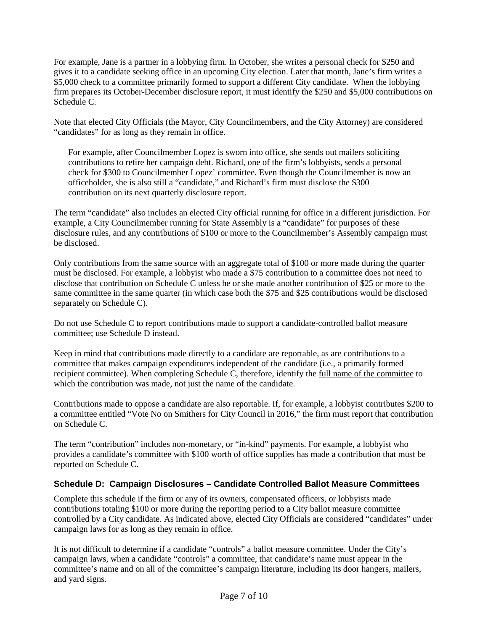For example, Jane is a partner in a lobbying firm. In October, she writes a personal check for \$250 and gives it to a candidate seeking office in an upcoming City election. Later that month, Jane's firm writes a \$5,000 check to a committee primarily formed to support a different City candidate. When the lobbying firm prepares its October-December disclosure report, it must identify the \$250 and \$5,000 contributions on Schedule C.

Note that elected City Officials (the Mayor, City Councilmembers, and the City Attorney) are considered "candidates" for as long as they remain in office.

For example, after Councilmember Lopez is sworn into office, she sends out mailers soliciting contributions to retire her campaign debt. Richard, one of the firm's lobbyists, sends a personal check for \$300 to Councilmember Lopez' committee. Even though the Councilmember is now an officeholder, she is also still a "candidate," and Richard's firm must disclose the \$300 contribution on its next quarterly disclosure report.

The term "candidate" also includes an elected City official running for office in a different jurisdiction. For example, a City Councilmember running for State Assembly is a "candidate" for purposes of these disclosure rules, and any contributions of \$100 or more to the Councilmember's Assembly campaign must be disclosed.

Only contributions from the same source with an aggregate total of \$100 or more made during the quarter must be disclosed. For example, a lobbyist who made a \$75 contribution to a committee does not need to disclose that contribution on Schedule C unless he or she made another contribution of \$25 or more to the same committee in the same quarter (in which case both the \$75 and \$25 contributions would be disclosed separately on Schedule C).

Do not use Schedule C to report contributions made to support a candidate-controlled ballot measure committee; use Schedule D instead.

Keep in mind that contributions made directly to a candidate are reportable, as are contributions to a committee that makes campaign expenditures independent of the candidate (i.e., a primarily formed recipient committee). When completing Schedule C, therefore, identify the full name of the committee to which the contribution was made, not just the name of the candidate.

Contributions made to oppose a candidate are also reportable. If, for example, a lobbyist contributes \$200 to a committee entitled "Vote No on Smithers for City Council in 2016," the firm must report that contribution on Schedule C.

The term "contribution" includes non-monetary, or "in-kind" payments. For example, a lobbyist who provides a candidate's committee with \$100 worth of office supplies has made a contribution that must be reported on Schedule C.

## **Schedule D: Campaign Disclosures – Candidate Controlled Ballot Measure Committees**

Complete this schedule if the firm or any of its owners, compensated officers, or lobbyists made contributions totaling \$100 or more during the reporting period to a City ballot measure committee controlled by a City candidate. As indicated above, elected City Officials are considered "candidates" under campaign laws for as long as they remain in office.

It is not difficult to determine if a candidate "controls" a ballot measure committee. Under the City's campaign laws, when a candidate "controls" a committee, that candidate's name must appear in the committee's name and on all of the committee's campaign literature, including its door hangers, mailers, and yard signs.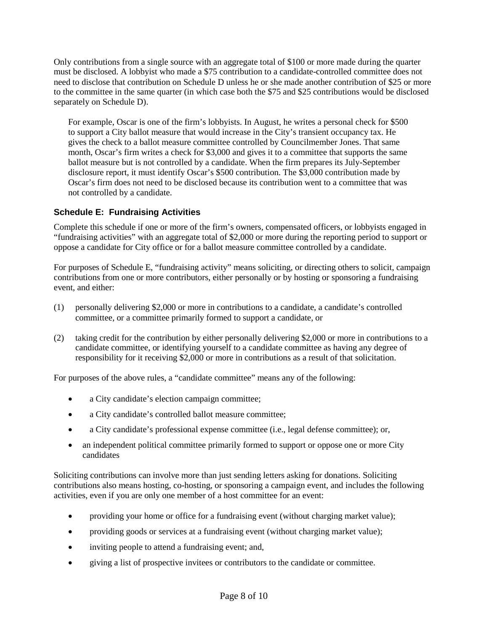Only contributions from a single source with an aggregate total of \$100 or more made during the quarter must be disclosed. A lobbyist who made a \$75 contribution to a candidate-controlled committee does not need to disclose that contribution on Schedule D unless he or she made another contribution of \$25 or more to the committee in the same quarter (in which case both the \$75 and \$25 contributions would be disclosed separately on Schedule D).

For example, Oscar is one of the firm's lobbyists. In August, he writes a personal check for \$500 to support a City ballot measure that would increase in the City's transient occupancy tax. He gives the check to a ballot measure committee controlled by Councilmember Jones. That same month, Oscar's firm writes a check for \$3,000 and gives it to a committee that supports the same ballot measure but is not controlled by a candidate. When the firm prepares its July-September disclosure report, it must identify Oscar's \$500 contribution. The \$3,000 contribution made by Oscar's firm does not need to be disclosed because its contribution went to a committee that was not controlled by a candidate.

## **Schedule E: Fundraising Activities**

Complete this schedule if one or more of the firm's owners, compensated officers, or lobbyists engaged in "fundraising activities" with an aggregate total of \$2,000 or more during the reporting period to support or oppose a candidate for City office or for a ballot measure committee controlled by a candidate.

For purposes of Schedule E, "fundraising activity" means soliciting, or directing others to solicit, campaign contributions from one or more contributors, either personally or by hosting or sponsoring a fundraising event, and either:

- (1) personally delivering \$2,000 or more in contributions to a candidate, a candidate's controlled committee, or a committee primarily formed to support a candidate, or
- (2) taking credit for the contribution by either personally delivering \$2,000 or more in contributions to a candidate committee, or identifying yourself to a candidate committee as having any degree of responsibility for it receiving \$2,000 or more in contributions as a result of that solicitation.

For purposes of the above rules, a "candidate committee" means any of the following:

- a City candidate's election campaign committee;
- a City candidate's controlled ballot measure committee;
- a City candidate's professional expense committee (i.e., legal defense committee); or,
- an independent political committee primarily formed to support or oppose one or more City candidates

Soliciting contributions can involve more than just sending letters asking for donations. Soliciting contributions also means hosting, co-hosting, or sponsoring a campaign event, and includes the following activities, even if you are only one member of a host committee for an event:

- providing your home or office for a fundraising event (without charging market value);
- providing goods or services at a fundraising event (without charging market value);
- inviting people to attend a fundraising event; and,
- giving a list of prospective invitees or contributors to the candidate or committee.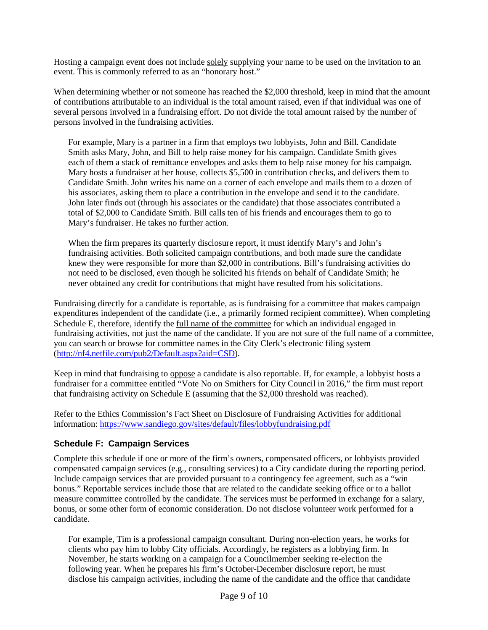Hosting a campaign event does not include solely supplying your name to be used on the invitation to an event. This is commonly referred to as an "honorary host."

When determining whether or not someone has reached the \$2,000 threshold, keep in mind that the amount of contributions attributable to an individual is the total amount raised, even if that individual was one of several persons involved in a fundraising effort. Do not divide the total amount raised by the number of persons involved in the fundraising activities.

For example, Mary is a partner in a firm that employs two lobbyists, John and Bill. Candidate Smith asks Mary, John, and Bill to help raise money for his campaign. Candidate Smith gives each of them a stack of remittance envelopes and asks them to help raise money for his campaign. Mary hosts a fundraiser at her house, collects \$5,500 in contribution checks, and delivers them to Candidate Smith. John writes his name on a corner of each envelope and mails them to a dozen of his associates, asking them to place a contribution in the envelope and send it to the candidate. John later finds out (through his associates or the candidate) that those associates contributed a total of \$2,000 to Candidate Smith. Bill calls ten of his friends and encourages them to go to Mary's fundraiser. He takes no further action.

When the firm prepares its quarterly disclosure report, it must identify Mary's and John's fundraising activities. Both solicited campaign contributions, and both made sure the candidate knew they were responsible for more than \$2,000 in contributions. Bill's fundraising activities do not need to be disclosed, even though he solicited his friends on behalf of Candidate Smith; he never obtained any credit for contributions that might have resulted from his solicitations.

Fundraising directly for a candidate is reportable, as is fundraising for a committee that makes campaign expenditures independent of the candidate (i.e., a primarily formed recipient committee). When completing Schedule E, therefore, identify the full name of the committee for which an individual engaged in fundraising activities, not just the name of the candidate. If you are not sure of the full name of a committee, you can search or browse for committee names in the City Clerk's electronic filing system [\(http://nf4.netfile.com/pub2/Default.aspx?aid=CSD\)](http://nf4.netfile.com/pub2/Default.aspx?aid=CSD).

Keep in mind that fundraising to oppose a candidate is also reportable. If, for example, a lobbyist hosts a fundraiser for a committee entitled "Vote No on Smithers for City Council in 2016," the firm must report that fundraising activity on Schedule E (assuming that the \$2,000 threshold was reached).

Refer to the Ethics Commission's Fact Sheet on Disclosure of Fundraising Activities for additional information:<https://www.sandiego.gov/sites/default/files/lobbyfundraising.pdf>

#### **Schedule F: Campaign Services**

Complete this schedule if one or more of the firm's owners, compensated officers, or lobbyists provided compensated campaign services (e.g., consulting services) to a City candidate during the reporting period. Include campaign services that are provided pursuant to a contingency fee agreement, such as a "win bonus." Reportable services include those that are related to the candidate seeking office or to a ballot measure committee controlled by the candidate. The services must be performed in exchange for a salary, bonus, or some other form of economic consideration. Do not disclose volunteer work performed for a candidate.

For example, Tim is a professional campaign consultant. During non-election years, he works for clients who pay him to lobby City officials. Accordingly, he registers as a lobbying firm. In November, he starts working on a campaign for a Councilmember seeking re-election the following year. When he prepares his firm's October-December disclosure report, he must disclose his campaign activities, including the name of the candidate and the office that candidate